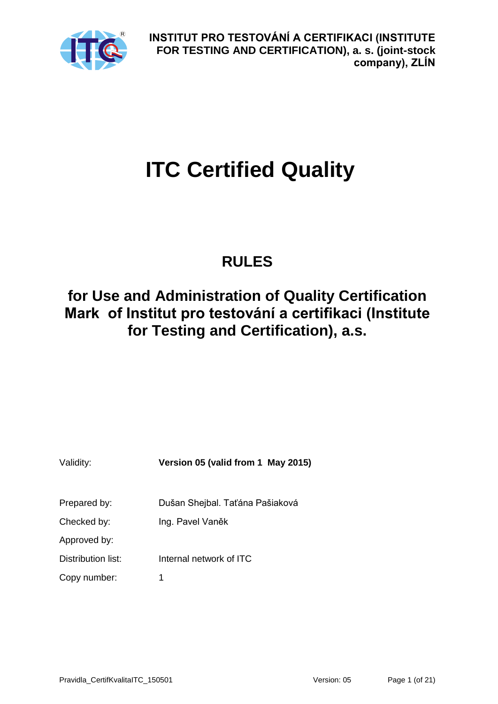

# **ITC Certified Quality**

## **RULES**

## **for Use and Administration of Quality Certification Mark of Institut pro testování a certifikaci (Institute for Testing and Certification), a.s.**

| Validity:          | Version 05 (valid from 1 May 2015) |
|--------------------|------------------------------------|
| Prepared by:       | Dušan Shejbal. Taťána Pašiaková    |
| Checked by:        | Ing. Pavel Vaněk                   |
| Approved by:       |                                    |
| Distribution list: | Internal network of ITC            |
| Copy number:       | 1                                  |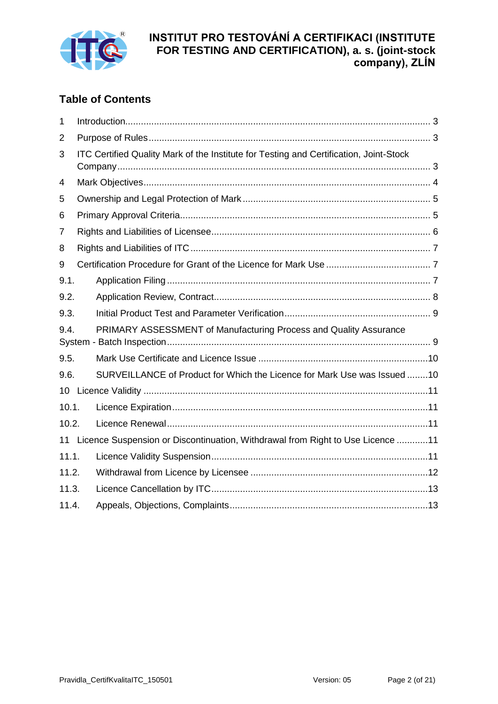

## **Table of Contents**

| $\mathbf 1$ |                                                                                        |  |  |  |  |
|-------------|----------------------------------------------------------------------------------------|--|--|--|--|
| 2           |                                                                                        |  |  |  |  |
| 3           | ITC Certified Quality Mark of the Institute for Testing and Certification, Joint-Stock |  |  |  |  |
| 4           |                                                                                        |  |  |  |  |
| 5           |                                                                                        |  |  |  |  |
| 6           |                                                                                        |  |  |  |  |
| 7           |                                                                                        |  |  |  |  |
| 8           |                                                                                        |  |  |  |  |
| 9           |                                                                                        |  |  |  |  |
| 9.1.        |                                                                                        |  |  |  |  |
| 9.2.        |                                                                                        |  |  |  |  |
| 9.3.        |                                                                                        |  |  |  |  |
| 9.4.        | PRIMARY ASSESSMENT of Manufacturing Process and Quality Assurance                      |  |  |  |  |
| 9.5.        |                                                                                        |  |  |  |  |
| 9.6.        | SURVEILLANCE of Product for Which the Licence for Mark Use was Issued 10               |  |  |  |  |
| 10          |                                                                                        |  |  |  |  |
| 10.1.       |                                                                                        |  |  |  |  |
| 10.2.       |                                                                                        |  |  |  |  |
|             | 11 Licence Suspension or Discontinuation, Withdrawal from Right to Use Licence 11      |  |  |  |  |
| 11.1.       |                                                                                        |  |  |  |  |
| 11.2.       |                                                                                        |  |  |  |  |
| 11.3.       |                                                                                        |  |  |  |  |
| 11.4.       |                                                                                        |  |  |  |  |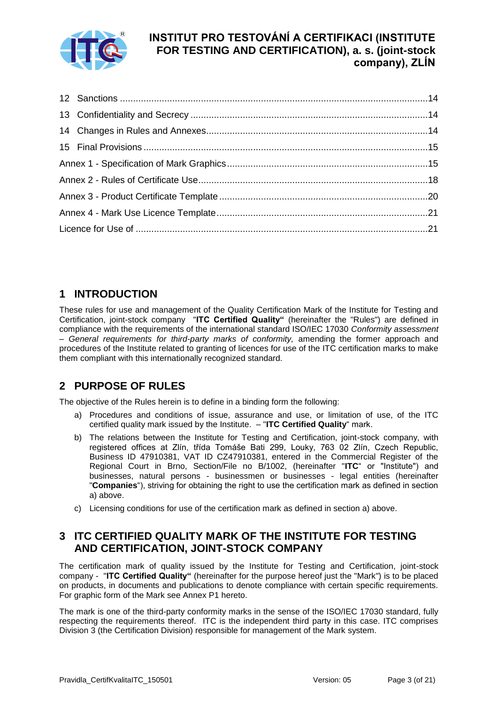

## <span id="page-2-0"></span>**1 INTRODUCTION**

These rules for use and management of the Quality Certification Mark of the Institute for Testing and Certification, joint-stock company "**ITC Certified Quality"** (hereinafter the "Rules") are defined in compliance with the requirements of the international standard ISO/IEC 17030 *Conformity assessment – General requirements for third-party marks of conformity,* amending the former approach and procedures of the Institute related to granting of licences for use of the ITC certification marks to make them compliant with this internationally recognized standard.

## <span id="page-2-1"></span>**2 PURPOSE OF RULES**

The objective of the Rules herein is to define in a binding form the following:

- a) Procedures and conditions of issue, assurance and use, or limitation of use, of the ITC certified quality mark issued by the Institute. – "**ITC Certified Quality**" mark.
- b) The relations between the Institute for Testing and Certification, joint-stock company, with registered offices at Zlín, třída Tomáše Bati 299, Louky, 763 02 Zlín, Czech Republic, Business ID 47910381, VAT ID CZ47910381, entered in the Commercial Register of the Regional Court in Brno, Section/File no B/1002, (hereinafter "**ITC**" or "Institute") and businesses, natural persons - businessmen or businesses - legal entities (hereinafter "**Companies**"), striving for obtaining the right to use the certification mark as defined in section a) above.
- c) Licensing conditions for use of the certification mark as defined in section a) above.

## <span id="page-2-2"></span>**3 ITC CERTIFIED QUALITY MARK OF THE INSTITUTE FOR TESTING AND CERTIFICATION, JOINT-STOCK COMPANY**

The certification mark of quality issued by the Institute for Testing and Certification, joint-stock company - "**ITC Certified Quality"** (hereinafter for the purpose hereof just the "Mark") is to be placed on products, in documents and publications to denote compliance with certain specific requirements. For graphic form of the Mark see Annex P1 hereto.

The mark is one of the third-party conformity marks in the sense of the ISO/IEC 17030 standard, fully respecting the requirements thereof. ITC is the independent third party in this case. ITC comprises Division 3 (the Certification Division) responsible for management of the Mark system.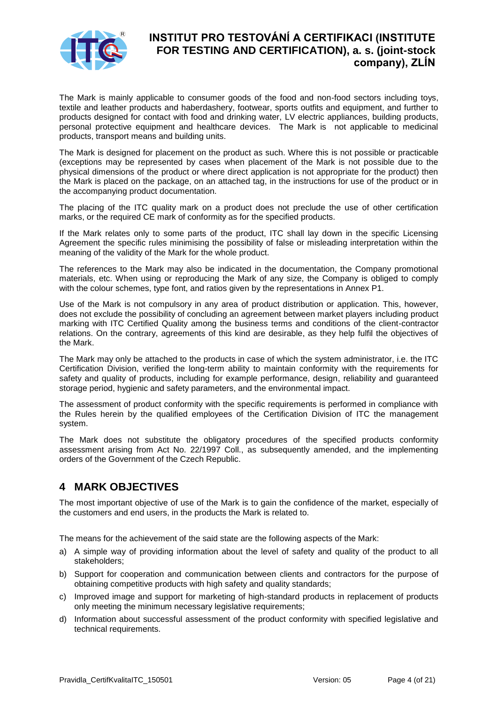

The Mark is mainly applicable to consumer goods of the food and non-food sectors including toys, textile and leather products and haberdashery, footwear, sports outfits and equipment, and further to products designed for contact with food and drinking water, LV electric appliances, building products, personal protective equipment and healthcare devices. The Mark is not applicable to medicinal products, transport means and building units.

The Mark is designed for placement on the product as such. Where this is not possible or practicable (exceptions may be represented by cases when placement of the Mark is not possible due to the physical dimensions of the product or where direct application is not appropriate for the product) then the Mark is placed on the package, on an attached tag, in the instructions for use of the product or in the accompanying product documentation.

The placing of the ITC quality mark on a product does not preclude the use of other certification marks, or the required CE mark of conformity as for the specified products.

If the Mark relates only to some parts of the product, ITC shall lay down in the specific Licensing Agreement the specific rules minimising the possibility of false or misleading interpretation within the meaning of the validity of the Mark for the whole product.

The references to the Mark may also be indicated in the documentation, the Company promotional materials, etc. When using or reproducing the Mark of any size, the Company is obliged to comply with the colour schemes, type font, and ratios given by the representations in Annex P1.

Use of the Mark is not compulsory in any area of product distribution or application. This, however, does not exclude the possibility of concluding an agreement between market players including product marking with ITC Certified Quality among the business terms and conditions of the client-contractor relations. On the contrary, agreements of this kind are desirable, as they help fulfil the objectives of the Mark.

The Mark may only be attached to the products in case of which the system administrator, i.e. the ITC Certification Division, verified the long-term ability to maintain conformity with the requirements for safety and quality of products, including for example performance, design, reliability and guaranteed storage period, hygienic and safety parameters, and the environmental impact.

The assessment of product conformity with the specific requirements is performed in compliance with the Rules herein by the qualified employees of the Certification Division of ITC the management system.

The Mark does not substitute the obligatory procedures of the specified products conformity assessment arising from Act No. 22/1997 Coll., as subsequently amended, and the implementing orders of the Government of the Czech Republic.

## <span id="page-3-0"></span>**4 MARK OBJECTIVES**

The most important objective of use of the Mark is to gain the confidence of the market, especially of the customers and end users, in the products the Mark is related to.

The means for the achievement of the said state are the following aspects of the Mark:

- a) A simple way of providing information about the level of safety and quality of the product to all stakeholders;
- b) Support for cooperation and communication between clients and contractors for the purpose of obtaining competitive products with high safety and quality standards;
- c) Improved image and support for marketing of high-standard products in replacement of products only meeting the minimum necessary legislative requirements;
- d) Information about successful assessment of the product conformity with specified legislative and technical requirements.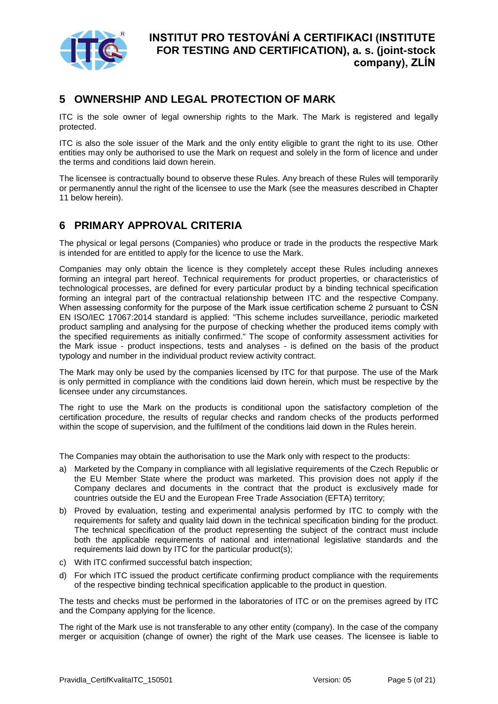

## <span id="page-4-0"></span>**5 OWNERSHIP AND LEGAL PROTECTION OF MARK**

ITC is the sole owner of legal ownership rights to the Mark. The Mark is registered and legally protected.

ITC is also the sole issuer of the Mark and the only entity eligible to grant the right to its use. Other entities may only be authorised to use the Mark on request and solely in the form of licence and under the terms and conditions laid down herein.

The licensee is contractually bound to observe these Rules. Any breach of these Rules will temporarily or permanently annul the right of the licensee to use the Mark (see the measures described in Chapter 11 below herein).

## <span id="page-4-1"></span>**6 PRIMARY APPROVAL CRITERIA**

The physical or legal persons (Companies) who produce or trade in the products the respective Mark is intended for are entitled to apply for the licence to use the Mark.

Companies may only obtain the licence is they completely accept these Rules including annexes forming an integral part hereof. Technical requirements for product properties, or characteristics of technological processes, are defined for every particular product by a binding technical specification forming an integral part of the contractual relationship between ITC and the respective Company. When assessing conformity for the purpose of the Mark issue certification scheme 2 pursuant to ČSN EN ISO/IEC 17067:2014 standard is applied: "This scheme includes surveillance, periodic marketed product sampling and analysing for the purpose of checking whether the produced items comply with the specified requirements as initially confirmed." The scope of conformity assessment activities for the Mark issue - product inspections, tests and analyses - is defined on the basis of the product typology and number in the individual product review activity contract.

The Mark may only be used by the companies licensed by ITC for that purpose. The use of the Mark is only permitted in compliance with the conditions laid down herein, which must be respective by the licensee under any circumstances.

The right to use the Mark on the products is conditional upon the satisfactory completion of the certification procedure, the results of regular checks and random checks of the products performed within the scope of supervision, and the fulfilment of the conditions laid down in the Rules herein.

The Companies may obtain the authorisation to use the Mark only with respect to the products:

- a) Marketed by the Company in compliance with all legislative requirements of the Czech Republic or the EU Member State where the product was marketed. This provision does not apply if the Company declares and documents in the contract that the product is exclusively made for countries outside the EU and the European Free Trade Association (EFTA) territory;
- b) Proved by evaluation, testing and experimental analysis performed by ITC to comply with the requirements for safety and quality laid down in the technical specification binding for the product. The technical specification of the product representing the subject of the contract must include both the applicable requirements of national and international legislative standards and the requirements laid down by ITC for the particular product(s);
- c) With ITC confirmed successful batch inspection;
- d) For which ITC issued the product certificate confirming product compliance with the requirements of the respective binding technical specification applicable to the product in question.

The tests and checks must be performed in the laboratories of ITC or on the premises agreed by ITC and the Company applying for the licence.

The right of the Mark use is not transferable to any other entity (company). In the case of the company merger or acquisition (change of owner) the right of the Mark use ceases. The licensee is liable to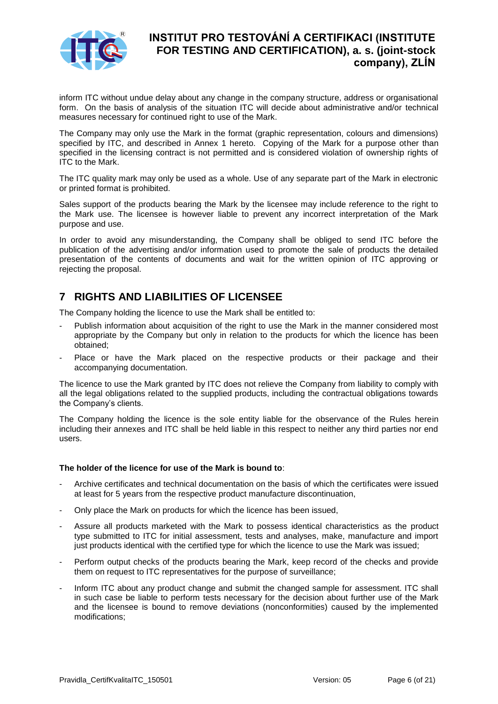

inform ITC without undue delay about any change in the company structure, address or organisational form. On the basis of analysis of the situation ITC will decide about administrative and/or technical measures necessary for continued right to use of the Mark.

The Company may only use the Mark in the format (graphic representation, colours and dimensions) specified by ITC, and described in Annex 1 hereto. Copying of the Mark for a purpose other than specified in the licensing contract is not permitted and is considered violation of ownership rights of ITC to the Mark.

The ITC quality mark may only be used as a whole. Use of any separate part of the Mark in electronic or printed format is prohibited.

Sales support of the products bearing the Mark by the licensee may include reference to the right to the Mark use. The licensee is however liable to prevent any incorrect interpretation of the Mark purpose and use.

In order to avoid any misunderstanding, the Company shall be obliged to send ITC before the publication of the advertising and/or information used to promote the sale of products the detailed presentation of the contents of documents and wait for the written opinion of ITC approving or rejecting the proposal.

## <span id="page-5-0"></span>**7 RIGHTS AND LIABILITIES OF LICENSEE**

The Company holding the licence to use the Mark shall be entitled to:

- Publish information about acquisition of the right to use the Mark in the manner considered most appropriate by the Company but only in relation to the products for which the licence has been obtained;
- Place or have the Mark placed on the respective products or their package and their accompanying documentation.

The licence to use the Mark granted by ITC does not relieve the Company from liability to comply with all the legal obligations related to the supplied products, including the contractual obligations towards the Company's clients.

The Company holding the licence is the sole entity liable for the observance of the Rules herein including their annexes and ITC shall be held liable in this respect to neither any third parties nor end users.

#### **The holder of the licence for use of the Mark is bound to**:

- Archive certificates and technical documentation on the basis of which the certificates were issued at least for 5 years from the respective product manufacture discontinuation,
- Only place the Mark on products for which the licence has been issued,
- Assure all products marketed with the Mark to possess identical characteristics as the product type submitted to ITC for initial assessment, tests and analyses, make, manufacture and import just products identical with the certified type for which the licence to use the Mark was issued;
- Perform output checks of the products bearing the Mark, keep record of the checks and provide them on request to ITC representatives for the purpose of surveillance;
- Inform ITC about any product change and submit the changed sample for assessment. ITC shall in such case be liable to perform tests necessary for the decision about further use of the Mark and the licensee is bound to remove deviations (nonconformities) caused by the implemented modifications;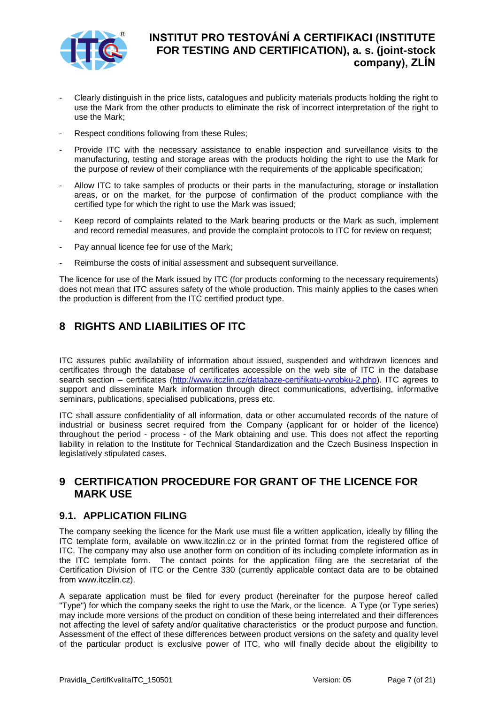

- Clearly distinguish in the price lists, catalogues and publicity materials products holding the right to use the Mark from the other products to eliminate the risk of incorrect interpretation of the right to use the Mark;
- Respect conditions following from these Rules;
- Provide ITC with the necessary assistance to enable inspection and surveillance visits to the manufacturing, testing and storage areas with the products holding the right to use the Mark for the purpose of review of their compliance with the requirements of the applicable specification;
- Allow ITC to take samples of products or their parts in the manufacturing, storage or installation areas, or on the market, for the purpose of confirmation of the product compliance with the certified type for which the right to use the Mark was issued;
- Keep record of complaints related to the Mark bearing products or the Mark as such, implement and record remedial measures, and provide the complaint protocols to ITC for review on request;
- Pay annual licence fee for use of the Mark:
- Reimburse the costs of initial assessment and subsequent surveillance.

The licence for use of the Mark issued by ITC (for products conforming to the necessary requirements) does not mean that ITC assures safety of the whole production. This mainly applies to the cases when the production is different from the ITC certified product type.

## <span id="page-6-0"></span>**8 RIGHTS AND LIABILITIES OF ITC**

ITC assures public availability of information about issued, suspended and withdrawn licences and certificates through the database of certificates accessible on the web site of ITC in the database search section – certificates [\(http://www.itczlin.cz/databaze-certifikatu-vyrobku-2.php\)](http://www.itczlin.cz/databaze-certifikatu-vyrobku-2.php). ITC agrees to support and disseminate Mark information through direct communications, advertising, informative seminars, publications, specialised publications, press etc.

ITC shall assure confidentiality of all information, data or other accumulated records of the nature of industrial or business secret required from the Company (applicant for or holder of the licence) throughout the period - process - of the Mark obtaining and use. This does not affect the reporting liability in relation to the Institute for Technical Standardization and the Czech Business Inspection in legislatively stipulated cases.

## <span id="page-6-1"></span>**9 CERTIFICATION PROCEDURE FOR GRANT OF THE LICENCE FOR MARK USE**

#### <span id="page-6-2"></span>**9.1. APPLICATION FILING**

The company seeking the licence for the Mark use must file a written application, ideally by filling the ITC template form, available on www.itczlin.cz or in the printed format from the registered office of ITC. The company may also use another form on condition of its including complete information as in the ITC template form. The contact points for the application filing are the secretariat of the Certification Division of ITC or the Centre 330 (currently applicable contact data are to be obtained from www.itczlin.cz).

A separate application must be filed for every product (hereinafter for the purpose hereof called "Type") for which the company seeks the right to use the Mark, or the licence. A Type (or Type series) may include more versions of the product on condition of these being interrelated and their differences not affecting the level of safety and/or qualitative characteristics or the product purpose and function. Assessment of the effect of these differences between product versions on the safety and quality level of the particular product is exclusive power of ITC, who will finally decide about the eligibility to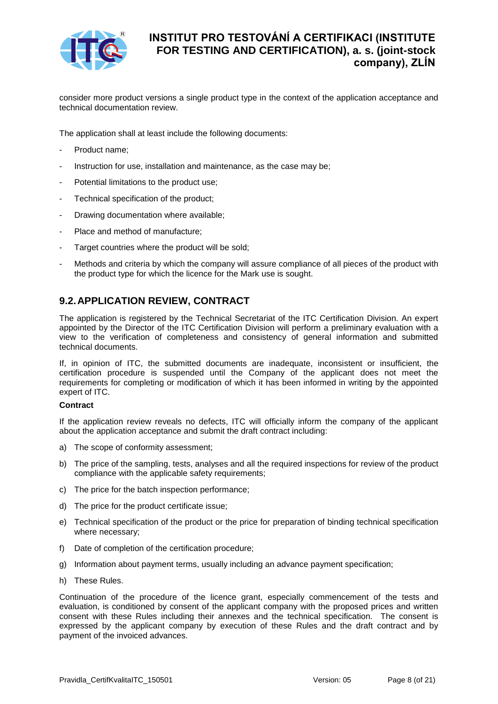

consider more product versions a single product type in the context of the application acceptance and technical documentation review.

The application shall at least include the following documents:

- Product name;
- Instruction for use, installation and maintenance, as the case may be;
- Potential limitations to the product use;
- Technical specification of the product;
- Drawing documentation where available;
- Place and method of manufacture;
- Target countries where the product will be sold;
- Methods and criteria by which the company will assure compliance of all pieces of the product with the product type for which the licence for the Mark use is sought.

### <span id="page-7-0"></span>**9.2.APPLICATION REVIEW, CONTRACT**

The application is registered by the Technical Secretariat of the ITC Certification Division. An expert appointed by the Director of the ITC Certification Division will perform a preliminary evaluation with a view to the verification of completeness and consistency of general information and submitted technical documents.

If, in opinion of ITC, the submitted documents are inadequate, inconsistent or insufficient, the certification procedure is suspended until the Company of the applicant does not meet the requirements for completing or modification of which it has been informed in writing by the appointed expert of ITC.

#### **Contract**

If the application review reveals no defects, ITC will officially inform the company of the applicant about the application acceptance and submit the draft contract including:

- a) The scope of conformity assessment;
- b) The price of the sampling, tests, analyses and all the required inspections for review of the product compliance with the applicable safety requirements:
- c) The price for the batch inspection performance;
- d) The price for the product certificate issue;
- e) Technical specification of the product or the price for preparation of binding technical specification where necessary;
- f) Date of completion of the certification procedure;
- g) Information about payment terms, usually including an advance payment specification;
- h) These Rules.

Continuation of the procedure of the licence grant, especially commencement of the tests and evaluation, is conditioned by consent of the applicant company with the proposed prices and written consent with these Rules including their annexes and the technical specification. The consent is expressed by the applicant company by execution of these Rules and the draft contract and by payment of the invoiced advances.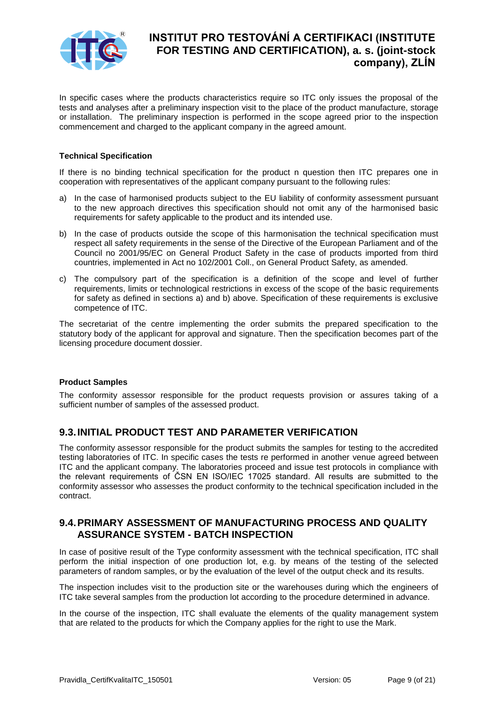

In specific cases where the products characteristics require so ITC only issues the proposal of the tests and analyses after a preliminary inspection visit to the place of the product manufacture, storage or installation. The preliminary inspection is performed in the scope agreed prior to the inspection commencement and charged to the applicant company in the agreed amount.

#### **Technical Specification**

If there is no binding technical specification for the product n question then ITC prepares one in cooperation with representatives of the applicant company pursuant to the following rules:

- a) In the case of harmonised products subject to the EU liability of conformity assessment pursuant to the new approach directives this specification should not omit any of the harmonised basic requirements for safety applicable to the product and its intended use.
- b) In the case of products outside the scope of this harmonisation the technical specification must respect all safety requirements in the sense of the Directive of the European Parliament and of the Council no 2001/95/EC on General Product Safety in the case of products imported from third countries, implemented in Act no 102/2001 Coll., on General Product Safety, as amended.
- c) The compulsory part of the specification is a definition of the scope and level of further requirements, limits or technological restrictions in excess of the scope of the basic requirements for safety as defined in sections a) and b) above. Specification of these requirements is exclusive competence of ITC.

The secretariat of the centre implementing the order submits the prepared specification to the statutory body of the applicant for approval and signature. Then the specification becomes part of the licensing procedure document dossier.

#### **Product Samples**

The conformity assessor responsible for the product requests provision or assures taking of a sufficient number of samples of the assessed product.

#### <span id="page-8-0"></span>**9.3.INITIAL PRODUCT TEST AND PARAMETER VERIFICATION**

The conformity assessor responsible for the product submits the samples for testing to the accredited testing laboratories of ITC. In specific cases the tests re performed in another venue agreed between ITC and the applicant company. The laboratories proceed and issue test protocols in compliance with the relevant requirements of ČSN EN ISO/IEC 17025 standard. All results are submitted to the conformity assessor who assesses the product conformity to the technical specification included in the contract.

#### <span id="page-8-1"></span>**9.4.PRIMARY ASSESSMENT OF MANUFACTURING PROCESS AND QUALITY ASSURANCE SYSTEM - BATCH INSPECTION**

In case of positive result of the Type conformity assessment with the technical specification, ITC shall perform the initial inspection of one production lot, e.g. by means of the testing of the selected parameters of random samples, or by the evaluation of the level of the output check and its results.

The inspection includes visit to the production site or the warehouses during which the engineers of ITC take several samples from the production lot according to the procedure determined in advance.

In the course of the inspection, ITC shall evaluate the elements of the quality management system that are related to the products for which the Company applies for the right to use the Mark.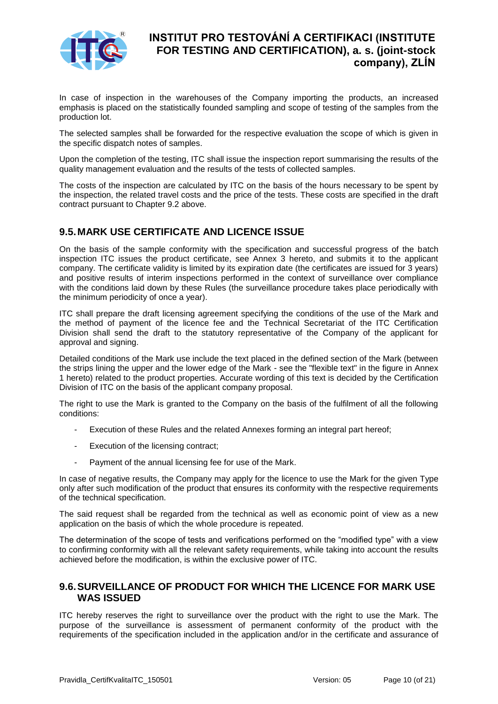

In case of inspection in the warehouses of the Company importing the products, an increased emphasis is placed on the statistically founded sampling and scope of testing of the samples from the production lot.

The selected samples shall be forwarded for the respective evaluation the scope of which is given in the specific dispatch notes of samples.

Upon the completion of the testing, ITC shall issue the inspection report summarising the results of the quality management evaluation and the results of the tests of collected samples.

The costs of the inspection are calculated by ITC on the basis of the hours necessary to be spent by the inspection, the related travel costs and the price of the tests. These costs are specified in the draft contract pursuant to Chapter 9.2 above.

### <span id="page-9-0"></span>**9.5.MARK USE CERTIFICATE AND LICENCE ISSUE**

On the basis of the sample conformity with the specification and successful progress of the batch inspection ITC issues the product certificate, see Annex 3 hereto, and submits it to the applicant company. The certificate validity is limited by its expiration date (the certificates are issued for 3 years) and positive results of interim inspections performed in the context of surveillance over compliance with the conditions laid down by these Rules (the surveillance procedure takes place periodically with the minimum periodicity of once a year).

ITC shall prepare the draft licensing agreement specifying the conditions of the use of the Mark and the method of payment of the licence fee and the Technical Secretariat of the ITC Certification Division shall send the draft to the statutory representative of the Company of the applicant for approval and signing.

Detailed conditions of the Mark use include the text placed in the defined section of the Mark (between the strips lining the upper and the lower edge of the Mark - see the "flexible text" in the figure in Annex 1 hereto) related to the product properties. Accurate wording of this text is decided by the Certification Division of ITC on the basis of the applicant company proposal.

The right to use the Mark is granted to the Company on the basis of the fulfilment of all the following conditions:

- Execution of these Rules and the related Annexes forming an integral part hereof;
- Execution of the licensing contract;
- Payment of the annual licensing fee for use of the Mark.

In case of negative results, the Company may apply for the licence to use the Mark for the given Type only after such modification of the product that ensures its conformity with the respective requirements of the technical specification.

The said request shall be regarded from the technical as well as economic point of view as a new application on the basis of which the whole procedure is repeated.

The determination of the scope of tests and verifications performed on the "modified type" with a view to confirming conformity with all the relevant safety requirements, while taking into account the results achieved before the modification, is within the exclusive power of ITC.

#### <span id="page-9-1"></span>**9.6.SURVEILLANCE OF PRODUCT FOR WHICH THE LICENCE FOR MARK USE WAS ISSUED**

ITC hereby reserves the right to surveillance over the product with the right to use the Mark. The purpose of the surveillance is assessment of permanent conformity of the product with the requirements of the specification included in the application and/or in the certificate and assurance of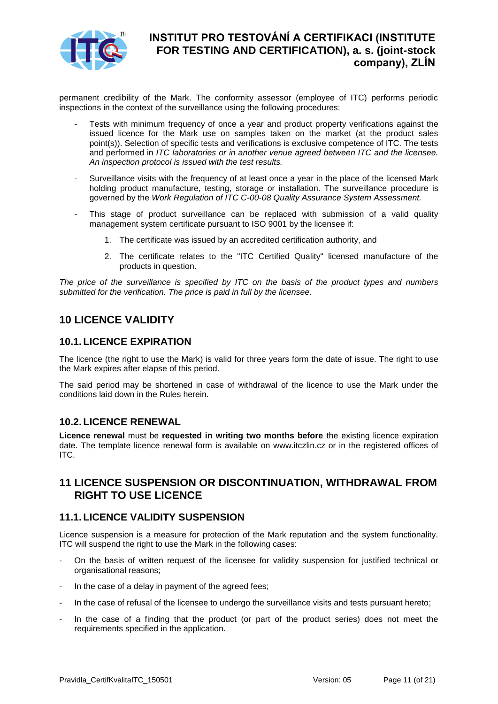

permanent credibility of the Mark. The conformity assessor (employee of ITC) performs periodic inspections in the context of the surveillance using the following procedures:

- Tests with minimum frequency of once a year and product property verifications against the issued licence for the Mark use on samples taken on the market (at the product sales point(s)). Selection of specific tests and verifications is exclusive competence of ITC. The tests and performed in *ITC laboratories or in another venue agreed between ITC and the licensee. An inspection protocol is issued with the test results.*
- Surveillance visits with the frequency of at least once a year in the place of the licensed Mark holding product manufacture, testing, storage or installation. The surveillance procedure is governed by the *Work Regulation of ITC C-00-08 Quality Assurance System Assessment.*
- This stage of product surveillance can be replaced with submission of a valid quality management system certificate pursuant to ISO 9001 by the licensee if:
	- 1. The certificate was issued by an accredited certification authority, and
	- 2. The certificate relates to the "ITC Certified Quality" licensed manufacture of the products in question.

*The price of the surveillance is specified by ITC on the basis of the product types and numbers submitted for the verification. The price is paid in full by the licensee.* 

## <span id="page-10-0"></span>**10 LICENCE VALIDITY**

#### <span id="page-10-1"></span>**10.1. LICENCE EXPIRATION**

The licence (the right to use the Mark) is valid for three years form the date of issue. The right to use the Mark expires after elapse of this period.

The said period may be shortened in case of withdrawal of the licence to use the Mark under the conditions laid down in the Rules herein.

#### <span id="page-10-2"></span>**10.2. LICENCE RENEWAL**

**Licence renewal** must be **requested in writing two months before** the existing licence expiration date. The template licence renewal form is available on www.itczlin.cz or in the registered offices of ITC.

## <span id="page-10-3"></span>**11 LICENCE SUSPENSION OR DISCONTINUATION, WITHDRAWAL FROM RIGHT TO USE LICENCE**

#### <span id="page-10-4"></span>**11.1. LICENCE VALIDITY SUSPENSION**

Licence suspension is a measure for protection of the Mark reputation and the system functionality. ITC will suspend the right to use the Mark in the following cases:

- On the basis of written request of the licensee for validity suspension for justified technical or organisational reasons;
- In the case of a delay in payment of the agreed fees;
- In the case of refusal of the licensee to undergo the surveillance visits and tests pursuant hereto;
- In the case of a finding that the product (or part of the product series) does not meet the requirements specified in the application.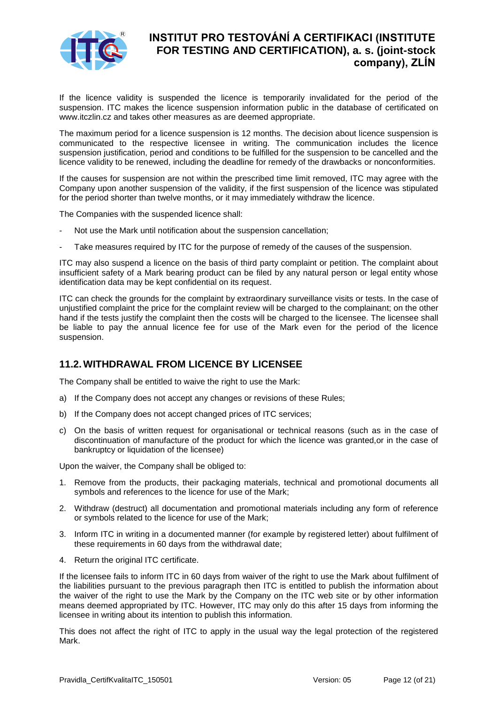

If the licence validity is suspended the licence is temporarily invalidated for the period of the suspension. ITC makes the licence suspension information public in the database of certificated on www.itczlin.cz and takes other measures as are deemed appropriate.

The maximum period for a licence suspension is 12 months. The decision about licence suspension is communicated to the respective licensee in writing. The communication includes the licence suspension justification, period and conditions to be fulfilled for the suspension to be cancelled and the licence validity to be renewed, including the deadline for remedy of the drawbacks or nonconformities.

If the causes for suspension are not within the prescribed time limit removed, ITC may agree with the Company upon another suspension of the validity, if the first suspension of the licence was stipulated for the period shorter than twelve months, or it may immediately withdraw the licence.

The Companies with the suspended licence shall:

- Not use the Mark until notification about the suspension cancellation:
- Take measures required by ITC for the purpose of remedy of the causes of the suspension.

ITC may also suspend a licence on the basis of third party complaint or petition. The complaint about insufficient safety of a Mark bearing product can be filed by any natural person or legal entity whose identification data may be kept confidential on its request.

ITC can check the grounds for the complaint by extraordinary surveillance visits or tests. In the case of unjustified complaint the price for the complaint review will be charged to the complainant; on the other hand if the tests justify the complaint then the costs will be charged to the licensee. The licensee shall be liable to pay the annual licence fee for use of the Mark even for the period of the licence suspension.

### <span id="page-11-0"></span>**11.2. WITHDRAWAL FROM LICENCE BY LICENSEE**

The Company shall be entitled to waive the right to use the Mark:

- a) If the Company does not accept any changes or revisions of these Rules;
- b) If the Company does not accept changed prices of ITC services;
- c) On the basis of written request for organisational or technical reasons (such as in the case of discontinuation of manufacture of the product for which the licence was granted,or in the case of bankruptcy or liquidation of the licensee)

Upon the waiver, the Company shall be obliged to:

- 1. Remove from the products, their packaging materials, technical and promotional documents all symbols and references to the licence for use of the Mark;
- 2. Withdraw (destruct) all documentation and promotional materials including any form of reference or symbols related to the licence for use of the Mark;
- 3. Inform ITC in writing in a documented manner (for example by registered letter) about fulfilment of these requirements in 60 days from the withdrawal date;
- 4. Return the original ITC certificate.

If the licensee fails to inform ITC in 60 days from waiver of the right to use the Mark about fulfilment of the liabilities pursuant to the previous paragraph then ITC is entitled to publish the information about the waiver of the right to use the Mark by the Company on the ITC web site or by other information means deemed appropriated by ITC. However, ITC may only do this after 15 days from informing the licensee in writing about its intention to publish this information.

This does not affect the right of ITC to apply in the usual way the legal protection of the registered Mark.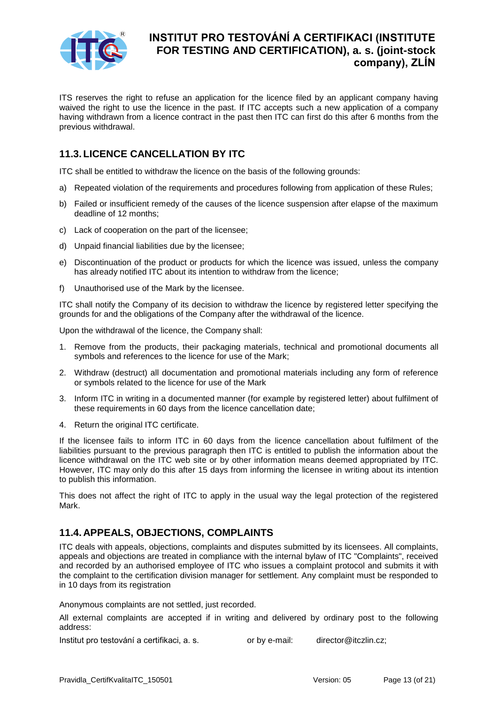

ITS reserves the right to refuse an application for the licence filed by an applicant company having waived the right to use the licence in the past. If ITC accepts such a new application of a company having withdrawn from a licence contract in the past then ITC can first do this after 6 months from the previous withdrawal.

## <span id="page-12-0"></span>**11.3. LICENCE CANCELLATION BY ITC**

ITC shall be entitled to withdraw the licence on the basis of the following grounds:

- a) Repeated violation of the requirements and procedures following from application of these Rules;
- b) Failed or insufficient remedy of the causes of the licence suspension after elapse of the maximum deadline of 12 months;
- c) Lack of cooperation on the part of the licensee;
- d) Unpaid financial liabilities due by the licensee;
- e) Discontinuation of the product or products for which the licence was issued, unless the company has already notified ITC about its intention to withdraw from the licence;
- f) Unauthorised use of the Mark by the licensee.

ITC shall notify the Company of its decision to withdraw the licence by registered letter specifying the grounds for and the obligations of the Company after the withdrawal of the licence.

Upon the withdrawal of the licence, the Company shall:

- 1. Remove from the products, their packaging materials, technical and promotional documents all symbols and references to the licence for use of the Mark;
- 2. Withdraw (destruct) all documentation and promotional materials including any form of reference or symbols related to the licence for use of the Mark
- 3. Inform ITC in writing in a documented manner (for example by registered letter) about fulfilment of these requirements in 60 days from the licence cancellation date;
- 4. Return the original ITC certificate.

If the licensee fails to inform ITC in 60 days from the licence cancellation about fulfilment of the liabilities pursuant to the previous paragraph then ITC is entitled to publish the information about the licence withdrawal on the ITC web site or by other information means deemed appropriated by ITC. However, ITC may only do this after 15 days from informing the licensee in writing about its intention to publish this information.

This does not affect the right of ITC to apply in the usual way the legal protection of the registered Mark.

### <span id="page-12-1"></span>**11.4. APPEALS, OBJECTIONS, COMPLAINTS**

ITC deals with appeals, objections, complaints and disputes submitted by its licensees. All complaints, appeals and objections are treated in compliance with the internal bylaw of ITC "Complaints", received and recorded by an authorised employee of ITC who issues a complaint protocol and submits it with the complaint to the certification division manager for settlement. Any complaint must be responded to in 10 days from its registration

Anonymous complaints are not settled, just recorded.

All external complaints are accepted if in writing and delivered by ordinary post to the following address:

Institut pro testování a certifikaci, a. s. or by e-mail: director@itczlin.cz;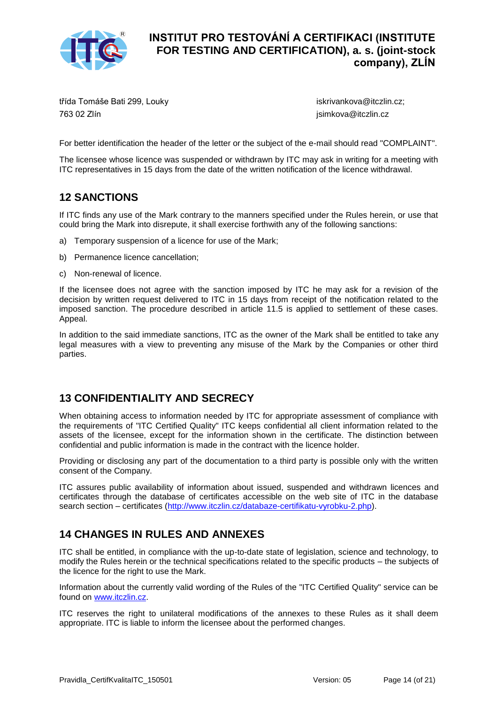

třída Tomáše Bati 299, Louky 763 02 Zlín

iskrivankova@itczlin.cz; jsimkova@itczlin.cz

For better identification the header of the letter or the subject of the e-mail should read "COMPLAINT".

The licensee whose licence was suspended or withdrawn by ITC may ask in writing for a meeting with ITC representatives in 15 days from the date of the written notification of the licence withdrawal.

## <span id="page-13-0"></span>**12 SANCTIONS**

If ITC finds any use of the Mark contrary to the manners specified under the Rules herein, or use that could bring the Mark into disrepute, it shall exercise forthwith any of the following sanctions:

- a) Temporary suspension of a licence for use of the Mark;
- b) Permanence licence cancellation;
- c) Non-renewal of licence.

If the licensee does not agree with the sanction imposed by ITC he may ask for a revision of the decision by written request delivered to ITC in 15 days from receipt of the notification related to the imposed sanction. The procedure described in article 11.5 is applied to settlement of these cases. Appeal.

In addition to the said immediate sanctions, ITC as the owner of the Mark shall be entitled to take any legal measures with a view to preventing any misuse of the Mark by the Companies or other third parties.

## <span id="page-13-1"></span>**13 CONFIDENTIALITY AND SECRECY**

When obtaining access to information needed by ITC for appropriate assessment of compliance with the requirements of "ITC Certified Quality" ITC keeps confidential all client information related to the assets of the licensee, except for the information shown in the certificate. The distinction between confidential and public information is made in the contract with the licence holder.

Providing or disclosing any part of the documentation to a third party is possible only with the written consent of the Company.

ITC assures public availability of information about issued, suspended and withdrawn licences and certificates through the database of certificates accessible on the web site of ITC in the database search section – certificates [\(http://www.itczlin.cz/databaze-certifikatu-vyrobku-2.php\)](http://www.itczlin.cz/databaze-certifikatu-vyrobku-2.php).

## <span id="page-13-2"></span>**14 CHANGES IN RULES AND ANNEXES**

ITC shall be entitled, in compliance with the up-to-date state of legislation, science and technology, to modify the Rules herein or the technical specifications related to the specific products – the subjects of the licence for the right to use the Mark.

Information about the currently valid wording of the Rules of the "ITC Certified Quality" service can be found on [www.itczlin.cz.](http://www.itczlin.cz/)

ITC reserves the right to unilateral modifications of the annexes to these Rules as it shall deem appropriate. ITC is liable to inform the licensee about the performed changes.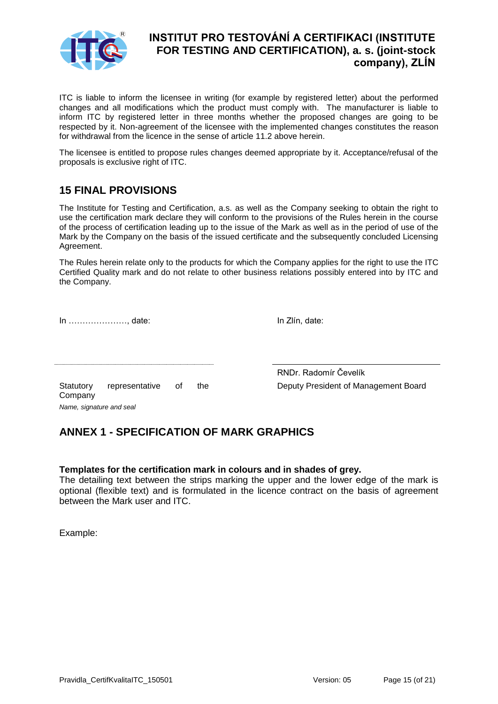

ITC is liable to inform the licensee in writing (for example by registered letter) about the performed changes and all modifications which the product must comply with. The manufacturer is liable to inform ITC by registered letter in three months whether the proposed changes are going to be respected by it. Non-agreement of the licensee with the implemented changes constitutes the reason for withdrawal from the licence in the sense of article 11.2 above herein.

The licensee is entitled to propose rules changes deemed appropriate by it. Acceptance/refusal of the proposals is exclusive right of ITC.

## <span id="page-14-0"></span>**15 FINAL PROVISIONS**

The Institute for Testing and Certification, a.s. as well as the Company seeking to obtain the right to use the certification mark declare they will conform to the provisions of the Rules herein in the course of the process of certification leading up to the issue of the Mark as well as in the period of use of the Mark by the Company on the basis of the issued certificate and the subsequently concluded Licensing Agreement.

The Rules herein relate only to the products for which the Company applies for the right to use the ITC Certified Quality mark and do not relate to other business relations possibly entered into by ITC and the Company.

In …………………, date: In Zlín, date:

Statutory representative of the Company *Name, signature and seal*

RNDr. Radomír Čevelík Deputy President of Management Board

## <span id="page-14-1"></span>**ANNEX 1 - SPECIFICATION OF MARK GRAPHICS**

#### **Templates for the certification mark in colours and in shades of grey.**

The detailing text between the strips marking the upper and the lower edge of the mark is optional (flexible text) and is formulated in the licence contract on the basis of agreement between the Mark user and ITC.

Example: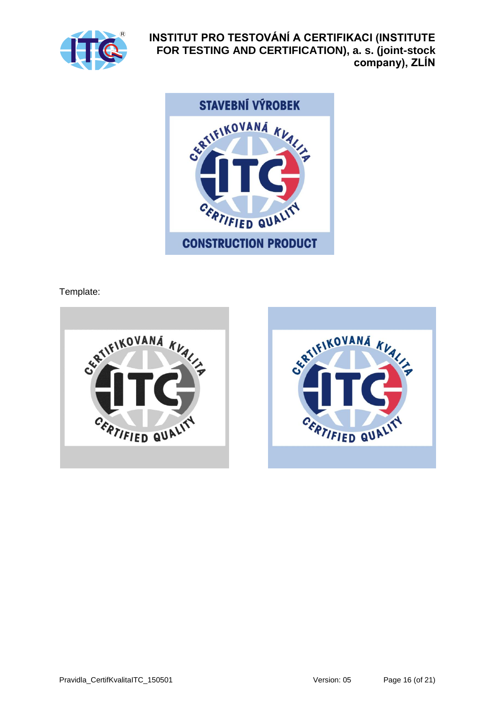



Template:

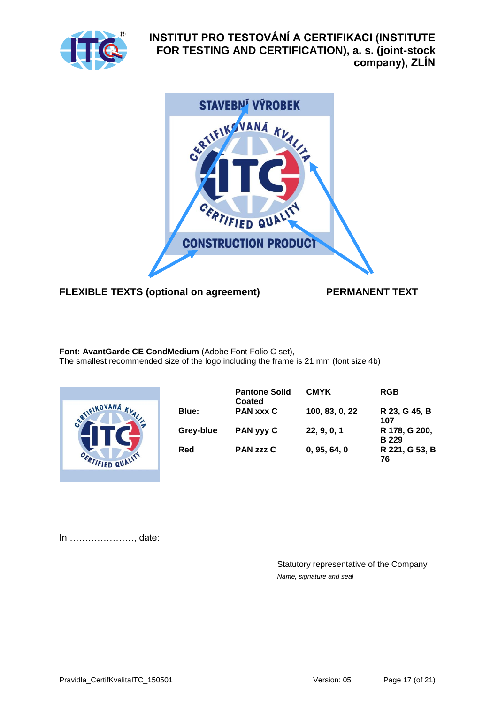



## **FLEXIBLE TEXTS (optional on agreement) PERMANENT TEXT**

**Font: AvantGarde CE CondMedium** (Adobe Font Folio C set), The smallest recommended size of the logo including the frame is 21 mm (font size 4b)



|           | <b>Pantone Solid</b><br>Coated | <b>CMYK</b>    | <b>RGB</b>                    |
|-----------|--------------------------------|----------------|-------------------------------|
| Blue:     | <b>PAN xxx C</b>               | 100, 83, 0, 22 | R 23, G 45, B<br>107          |
| Grey-blue | PAN yyy C                      | 22, 9, 0, 1    | R 178, G 200,<br><b>B</b> 229 |
| Red       | <b>PAN zzz C</b>               | 0, 95, 64, 0   | R 221, G 53, B<br>76          |

In …………………, date:

Statutory representative of the Company *Name, signature and seal*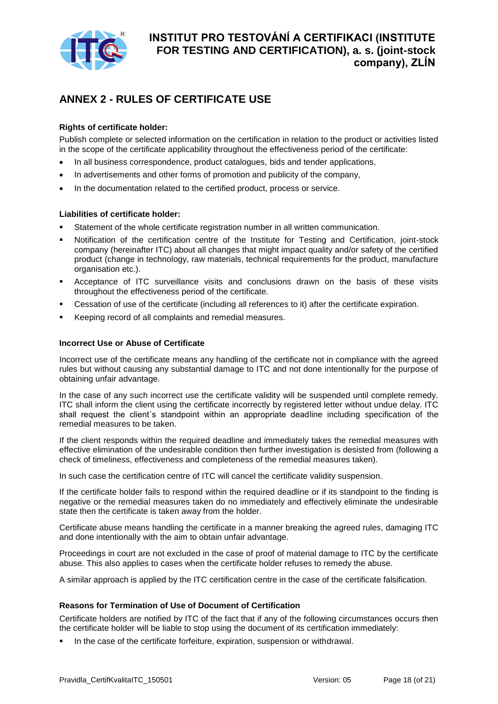

## <span id="page-17-0"></span>**ANNEX 2 - RULES OF CERTIFICATE USE**

#### **Rights of certificate holder:**

Publish complete or selected information on the certification in relation to the product or activities listed in the scope of the certificate applicability throughout the effectiveness period of the certificate:

- In all business correspondence, product catalogues, bids and tender applications,
- In advertisements and other forms of promotion and publicity of the company,
- In the documentation related to the certified product, process or service.

#### **Liabilities of certificate holder:**

- Statement of the whole certificate registration number in all written communication.
- Notification of the certification centre of the Institute for Testing and Certification, joint-stock company (hereinafter ITC) about all changes that might impact quality and/or safety of the certified product (change in technology, raw materials, technical requirements for the product, manufacture organisation etc.).
- Acceptance of ITC surveillance visits and conclusions drawn on the basis of these visits throughout the effectiveness period of the certificate.
- Cessation of use of the certificate (including all references to it) after the certificate expiration.
- Keeping record of all complaints and remedial measures.

#### **Incorrect Use or Abuse of Certificate**

Incorrect use of the certificate means any handling of the certificate not in compliance with the agreed rules but without causing any substantial damage to ITC and not done intentionally for the purpose of obtaining unfair advantage.

In the case of any such incorrect use the certificate validity will be suspended until complete remedy. ITC shall inform the client using the certificate incorrectly by registered letter without undue delay. ITC shall request the client´s standpoint within an appropriate deadline including specification of the remedial measures to be taken.

If the client responds within the required deadline and immediately takes the remedial measures with effective elimination of the undesirable condition then further investigation is desisted from (following a check of timeliness, effectiveness and completeness of the remedial measures taken).

In such case the certification centre of ITC will cancel the certificate validity suspension.

If the certificate holder fails to respond within the required deadline or if its standpoint to the finding is negative or the remedial measures taken do no immediately and effectively eliminate the undesirable state then the certificate is taken away from the holder.

Certificate abuse means handling the certificate in a manner breaking the agreed rules, damaging ITC and done intentionally with the aim to obtain unfair advantage.

Proceedings in court are not excluded in the case of proof of material damage to ITC by the certificate abuse. This also applies to cases when the certificate holder refuses to remedy the abuse.

A similar approach is applied by the ITC certification centre in the case of the certificate falsification.

#### **Reasons for Termination of Use of Document of Certification**

Certificate holders are notified by ITC of the fact that if any of the following circumstances occurs then the certificate holder will be liable to stop using the document of its certification immediately:

In the case of the certificate forfeiture, expiration, suspension or withdrawal.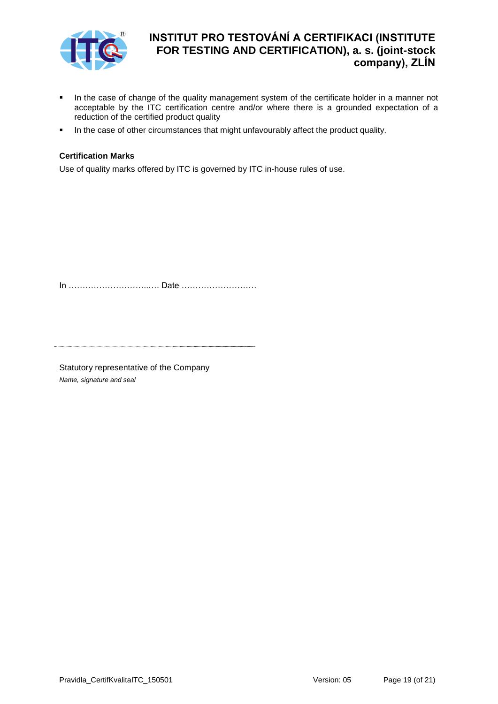

- In the case of change of the quality management system of the certificate holder in a manner not acceptable by the ITC certification centre and/or where there is a grounded expectation of a reduction of the certified product quality
- In the case of other circumstances that might unfavourably affect the product quality.

#### **Certification Marks**

Use of quality marks offered by ITC is governed by ITC in-house rules of use.

In ………………………..…. Date ………………………

Statutory representative of the Company *Name, signature and seal*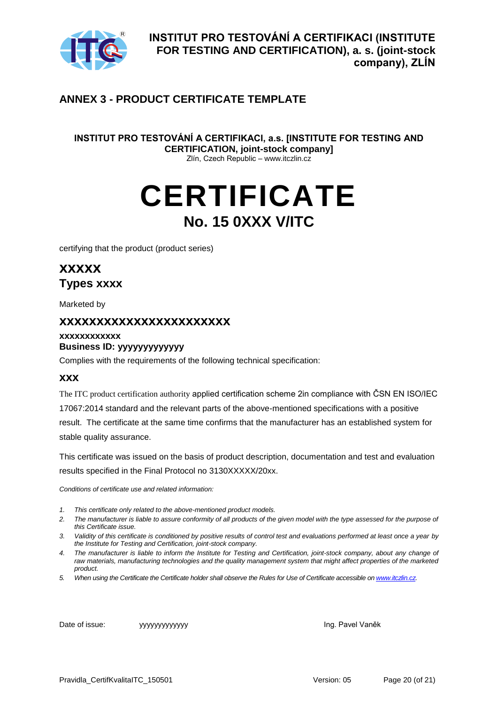

## <span id="page-19-0"></span>**ANNEX 3 - PRODUCT CERTIFICATE TEMPLATE**

**INSTITUT PRO TESTOVÁNÍ A CERTIFIKACI, a.s. [INSTITUTE FOR TESTING AND CERTIFICATION, joint-stock company]**  Zlín, Czech Republic – www.itczlin.cz

# **CERTIFICATE No. 15 0XXX V/ITC**

certifying that the product (product series)

**xxxxx Types xxxx**

Marketed by

## **xxxxxxxxxxxxxxxxxxxxxxx**

### **xxxxxxxxxxxx Business ID: yyyyyyyyyyyyy**

Complies with the requirements of the following technical specification:

#### **xxx**

The ITC product certification authority applied certification scheme 2in compliance with ČSN EN ISO/IEC 17067:2014 standard and the relevant parts of the above-mentioned specifications with a positive result. The certificate at the same time confirms that the manufacturer has an established system for stable quality assurance.

This certificate was issued on the basis of product description, documentation and test and evaluation results specified in the Final Protocol no 3130XXXXX/20xx.

*Conditions of certificate use and related information:*

- *1. This certificate only related to the above-mentioned product models.*
- *2. The manufacturer is liable to assure conformity of all products of the given model with the type assessed for the purpose of this Certificate issue.*
- *3. Validity of this certificate is conditioned by positive results of control test and evaluations performed at least once a year by the Institute for Testing and Certification, joint-stock company.*
- *4. The manufacturer is liable to inform the Institute for Testing and Certification, joint-stock company, about any change of raw materials, manufacturing technologies and the quality management system that might affect properties of the marketed product.*
- *5. When using the Certificate the Certificate holder shall observe the Rules for Use of Certificate accessible o[n www.itczlin.cz.](http://www.itczlin.cz/)*

Date of issue: yyyyyyyyyyyyy Ing. Pavel Vaněk